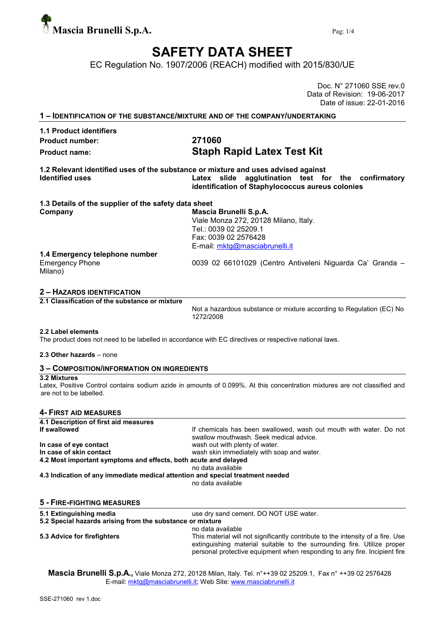

# SAFETY DATA SHEET

EC Regulation No. 1907/2006 (REACH) modified with 2015/830/UE

Doc. N° 271060 SSE rev.0 Data of Revision: 19-06-2017 Date of issue: 22-01-2016

| <b>1.1 Product identifiers</b>                       |                                                                                                                                                                                              |
|------------------------------------------------------|----------------------------------------------------------------------------------------------------------------------------------------------------------------------------------------------|
| <b>Product number:</b>                               | 271060                                                                                                                                                                                       |
| <b>Product name:</b>                                 | <b>Staph Rapid Latex Test Kit</b>                                                                                                                                                            |
| <b>Identified uses</b>                               | 1.2 Relevant identified uses of the substance or mixture and uses advised against<br>Latex slide agglutination test for the confirmatory<br>identification of Staphylococcus aureus colonies |
| 1.3 Details of the supplier of the safety data sheet |                                                                                                                                                                                              |
| Company                                              | Mascia Brunelli S.p.A.<br>Viale Monza 272, 20128 Milano, Italy.<br>Tel.: 0039 02 25209.1<br>Fax: 0039 02 2576428<br>E-mail: mktg@masciabrunelli.it                                           |
| 1.4 Emergency telephone number                       |                                                                                                                                                                                              |
| <b>Emergency Phone</b><br>Milano)                    | 0039 02 66101029 (Centro Antiveleni Niguarda Ca' Granda -                                                                                                                                    |

Not a hazardous substance or mixture according to Regulation (EC) No 1272/2008

#### 2.2 Label elements

The product does not need to be labelled in accordance with EC directives or respective national laws.

#### 2.3 Other hazards – none

# 3 – COMPOSITION/INFORMATION ON INGREDIENTS

### 3.2 Mixtures

Latex, Positive Control contains sodium azide in amounts of 0.099%. At this concentration mixtures are not classified and are not to be labelled.

#### 4- FIRST AID MEASURES

| 4.1 Description of first aid measures                                          |                                                                                                               |
|--------------------------------------------------------------------------------|---------------------------------------------------------------------------------------------------------------|
| If swallowed                                                                   | If chemicals has been swallowed, wash out mouth with water. Do not<br>swallow mouthwash. Seek medical advice. |
| In case of eye contact                                                         | wash out with plenty of water.                                                                                |
| In case of skin contact                                                        | wash skin immediately with soap and water.                                                                    |
| 4.2 Most important symptoms and effects, both acute and delayed                |                                                                                                               |
|                                                                                | no data available                                                                                             |
| 4.3 Indication of any immediate medical attention and special treatment needed |                                                                                                               |
|                                                                                | no data available                                                                                             |
| <b>5 - FIRE-FIGHTING MEASURES</b>                                              |                                                                                                               |
| 5.1 Extinguishing media                                                        | use dry sand cement. DO NOT USE water.                                                                        |
| 5.2 Special hazards arising from the substance or mixture                      |                                                                                                               |

no data available 5.3 Advice for firefighters This material will not significantly contribute to the intensity of a fire. Use extinguishing material suitable to the surrounding fire. Utilize proper personal protective equipment when responding to any fire. Incipient fire

Mascia Brunelli S.p.A., Viale Monza 272, 20128 Milan, Italy. Tel. n°++39 02 25209.1, Fax n° ++39 02 2576428 E-mail: mktg@masciabrunelli.it; Web Site: www.masciabrunelli.it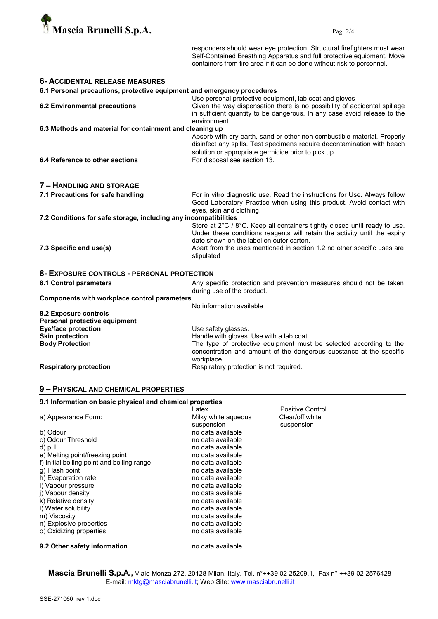

responders should wear eye protection. Structural firefighters must wear Self-Contained Breathing Apparatus and full protective equipment. Move containers from fire area if it can be done without risk to personnel.

| <b>6- ACCIDENTAL RELEASE MEASURES</b>                                                                                                    |                                                                                                                                                                                                                                                                                              |  |  |  |
|------------------------------------------------------------------------------------------------------------------------------------------|----------------------------------------------------------------------------------------------------------------------------------------------------------------------------------------------------------------------------------------------------------------------------------------------|--|--|--|
| 6.1 Personal precautions, protective equipment and emergency procedures                                                                  |                                                                                                                                                                                                                                                                                              |  |  |  |
| <b>6.2 Environmental precautions</b>                                                                                                     | Use personal protective equipment, lab coat and gloves<br>Given the way dispensation there is no possibility of accidental spillage<br>in sufficient quantity to be dangerous. In any case avoid release to the<br>environment.                                                              |  |  |  |
| 6.3 Methods and material for containment and cleaning up                                                                                 |                                                                                                                                                                                                                                                                                              |  |  |  |
| 6.4 Reference to other sections                                                                                                          | Absorb with dry earth, sand or other non combustible material. Properly<br>disinfect any spills. Test specimens require decontamination with beach<br>solution or appropriate germicide prior to pick up.<br>For disposal see section 13.                                                    |  |  |  |
| 7 - HANDLING AND STORAGE                                                                                                                 |                                                                                                                                                                                                                                                                                              |  |  |  |
| 7.1 Precautions for safe handling                                                                                                        | For in vitro diagnostic use. Read the instructions for Use. Always follow<br>Good Laboratory Practice when using this product. Avoid contact with<br>eyes, skin and clothing.                                                                                                                |  |  |  |
| 7.2 Conditions for safe storage, including any incompatibilities                                                                         |                                                                                                                                                                                                                                                                                              |  |  |  |
| 7.3 Specific end use(s)                                                                                                                  | Store at 2°C / 8°C. Keep all containers tightly closed until ready to use.<br>Under these conditions reagents will retain the activity until the expiry<br>date shown on the label on outer carton.<br>Apart from the uses mentioned in section 1.2 no other specific uses are<br>stipulated |  |  |  |
| 8- EXPOSURE CONTROLS - PERSONAL PROTECTION                                                                                               |                                                                                                                                                                                                                                                                                              |  |  |  |
| 8.1 Control parameters                                                                                                                   | Any specific protection and prevention measures should not be taken<br>during use of the product.                                                                                                                                                                                            |  |  |  |
| <b>Components with workplace control parameters</b>                                                                                      |                                                                                                                                                                                                                                                                                              |  |  |  |
| 8.2 Exposure controls<br>Personal protective equipment<br><b>Eye/face protection</b><br><b>Skin protection</b><br><b>Body Protection</b> | No information available<br>Use safety glasses.<br>Handle with gloves. Use with a lab coat.<br>The type of protective equipment must be selected according to the                                                                                                                            |  |  |  |
| <b>Respiratory protection</b>                                                                                                            | concentration and amount of the dangerous substance at the specific<br>workplace.<br>Respiratory protection is not required.                                                                                                                                                                 |  |  |  |

# 9 – PHYSICAL AND CHEMICAL PROPERTIES

# 9.1 Information on basic physical and chemical properties

|                                            | Latex               | Positive Control |
|--------------------------------------------|---------------------|------------------|
| a) Appearance Form:                        | Milky white agueous | Clear/off white  |
|                                            | suspension          | suspension       |
| b) Odour                                   | no data available   |                  |
| c) Odour Threshold                         | no data available   |                  |
| d) pH                                      | no data available   |                  |
| e) Melting point/freezing point            | no data available   |                  |
| f) Initial boiling point and boiling range | no data available   |                  |
| g) Flash point                             | no data available   |                  |
| h) Evaporation rate                        | no data available   |                  |
| i) Vapour pressure                         | no data available   |                  |
| i) Vapour density                          | no data available   |                  |
| k) Relative density                        | no data available   |                  |
| I) Water solubility                        | no data available   |                  |
| m) Viscosity                               | no data available   |                  |
| n) Explosive properties                    | no data available   |                  |
| o) Oxidizing properties                    | no data available   |                  |
| 9.2 Other safety information               | no data available   |                  |

Mascia Brunelli S.p.A., Viale Monza 272, 20128 Milan, Italy. Tel. n°++39 02 25209.1, Fax n° ++39 02 2576428 E-mail: mktg@masciabrunelli.it; Web Site: www.masciabrunelli.it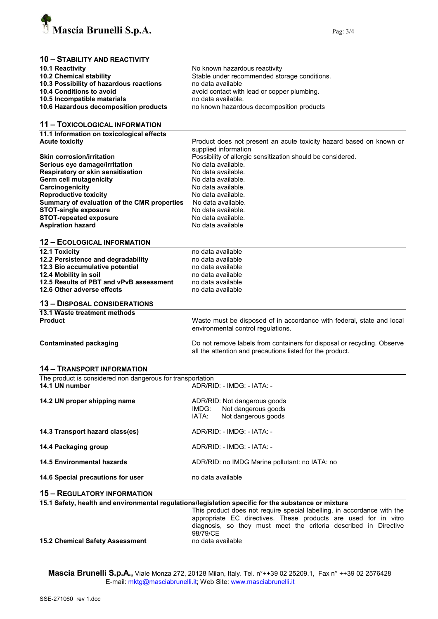

# 10 – STABILITY AND REACTIVITY

| 10.1 Reactivity                                                                                 | No known hazardous reactivity                                                                       |  |  |
|-------------------------------------------------------------------------------------------------|-----------------------------------------------------------------------------------------------------|--|--|
| 10.2 Chemical stability                                                                         | Stable under recommended storage conditions.                                                        |  |  |
| 10.3 Possibility of hazardous reactions                                                         | no data available                                                                                   |  |  |
| 10.4 Conditions to avoid                                                                        | avoid contact with lead or copper plumbing.                                                         |  |  |
| 10.5 Incompatible materials                                                                     | no data available.                                                                                  |  |  |
| 10.6 Hazardous decomposition products                                                           | no known hazardous decomposition products                                                           |  |  |
|                                                                                                 |                                                                                                     |  |  |
| <b>11 - TOXICOLOGICAL INFORMATION</b>                                                           |                                                                                                     |  |  |
| 11.1 Information on toxicological effects                                                       |                                                                                                     |  |  |
| <b>Acute toxicity</b>                                                                           | Product does not present an acute toxicity hazard based on known or                                 |  |  |
|                                                                                                 | supplied information                                                                                |  |  |
| <b>Skin corrosion/irritation</b>                                                                |                                                                                                     |  |  |
|                                                                                                 | Possibility of allergic sensitization should be considered.<br>No data available.                   |  |  |
| Serious eye damage/irritation                                                                   |                                                                                                     |  |  |
| Respiratory or skin sensitisation                                                               | No data available.<br>No data available.                                                            |  |  |
| Germ cell mutagenicity                                                                          |                                                                                                     |  |  |
| Carcinogenicity                                                                                 | No data available.                                                                                  |  |  |
| <b>Reproductive toxicity</b>                                                                    | No data available.                                                                                  |  |  |
| Summary of evaluation of the CMR properties                                                     | No data available.                                                                                  |  |  |
| <b>STOT-single exposure</b>                                                                     | No data available.                                                                                  |  |  |
| <b>STOT-repeated exposure</b>                                                                   | No data available.                                                                                  |  |  |
| <b>Aspiration hazard</b>                                                                        | No data available                                                                                   |  |  |
|                                                                                                 |                                                                                                     |  |  |
| <b>12 - ECOLOGICAL INFORMATION</b>                                                              |                                                                                                     |  |  |
| 12.1 Toxicity                                                                                   | no data available                                                                                   |  |  |
| 12.2 Persistence and degradability                                                              | no data available                                                                                   |  |  |
| 12.3 Bio accumulative potential                                                                 | no data available                                                                                   |  |  |
| 12.4 Mobility in soil                                                                           | no data available                                                                                   |  |  |
| 12.5 Results of PBT and vPvB assessment                                                         | no data available                                                                                   |  |  |
| 12.6 Other adverse effects                                                                      | no data available                                                                                   |  |  |
| <b>13 - DISPOSAL CONSIDERATIONS</b>                                                             |                                                                                                     |  |  |
| 13.1 Waste treatment methods                                                                    |                                                                                                     |  |  |
| <b>Product</b>                                                                                  | Waste must be disposed of in accordance with federal, state and local                               |  |  |
|                                                                                                 | environmental control regulations.                                                                  |  |  |
|                                                                                                 |                                                                                                     |  |  |
| <b>Contaminated packaging</b>                                                                   | Do not remove labels from containers for disposal or recycling. Observe                             |  |  |
|                                                                                                 | all the attention and precautions listed for the product.                                           |  |  |
|                                                                                                 |                                                                                                     |  |  |
| <b>14 - TRANSPORT INFORMATION</b><br>The product is considered non dangerous for transportation |                                                                                                     |  |  |
| 14.1 UN number                                                                                  | ADR/RID: - IMDG: - IATA: -                                                                          |  |  |
|                                                                                                 |                                                                                                     |  |  |
| 14.2 UN proper shipping name                                                                    | ADR/RID: Not dangerous goods                                                                        |  |  |
|                                                                                                 | Not dangerous goods<br>IMDG:                                                                        |  |  |
|                                                                                                 | IATA:<br>Not dangerous goods                                                                        |  |  |
|                                                                                                 |                                                                                                     |  |  |
| 14.3 Transport hazard class(es)                                                                 | ADR/RID: - IMDG: - IATA: -                                                                          |  |  |
|                                                                                                 | ADR/RID: - IMDG: - IATA: -                                                                          |  |  |
| 14.4 Packaging group                                                                            |                                                                                                     |  |  |
| <b>14.5 Environmental hazards</b>                                                               | ADR/RID: no IMDG Marine pollutant: no IATA: no                                                      |  |  |
|                                                                                                 |                                                                                                     |  |  |
| 14.6 Special precautions for user                                                               | no data available                                                                                   |  |  |
| <b>15 - REGULATORY INFORMATION</b>                                                              |                                                                                                     |  |  |
|                                                                                                 | 15.1 Safety, health and environmental regulations/legislation specific for the substance or mixture |  |  |
|                                                                                                 | This product does not require special labelling, in accordance with the                             |  |  |
|                                                                                                 | appropriate EC directives. These products are used for in vitro                                     |  |  |
|                                                                                                 | diagnosis, so they must meet the criteria described in Directive                                    |  |  |
|                                                                                                 | 98/79/CE                                                                                            |  |  |
| <b>15.2 Chemical Safety Assessment</b>                                                          | no data available                                                                                   |  |  |

15.2 Chemical Safety Assessment

**Mascia Brunelli S.p.A.,** Viale Monza 272, 20128 Milan, Italy. Tel. n°++39 02 25209.1, Fax n° ++39 02 2576428 E-mail: <u>mktg@masciabrunelli.it</u>; Web Site: www.masciabrunelli.it